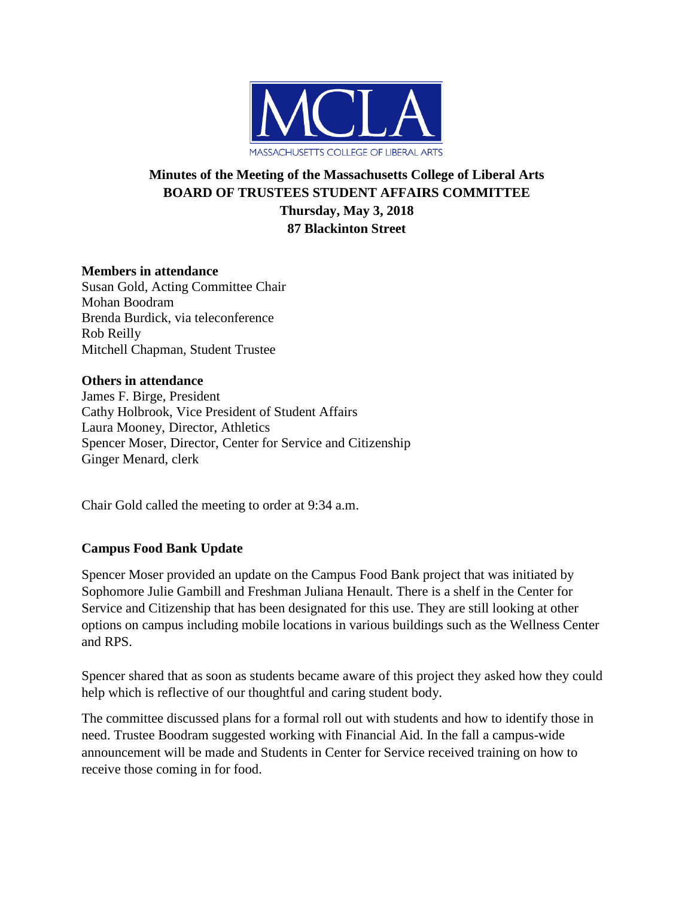

# **Minutes of the Meeting of the Massachusetts College of Liberal Arts BOARD OF TRUSTEES STUDENT AFFAIRS COMMITTEE Thursday, May 3, 2018 87 Blackinton Street**

### **Members in attendance**

Susan Gold, Acting Committee Chair Mohan Boodram Brenda Burdick, via teleconference Rob Reilly Mitchell Chapman, Student Trustee

#### **Others in attendance**

James F. Birge, President Cathy Holbrook, Vice President of Student Affairs Laura Mooney, Director, Athletics Spencer Moser, Director, Center for Service and Citizenship Ginger Menard, clerk

Chair Gold called the meeting to order at 9:34 a.m.

# **Campus Food Bank Update**

Spencer Moser provided an update on the Campus Food Bank project that was initiated by Sophomore Julie Gambill and Freshman Juliana Henault. There is a shelf in the Center for Service and Citizenship that has been designated for this use. They are still looking at other options on campus including mobile locations in various buildings such as the Wellness Center and RPS.

Spencer shared that as soon as students became aware of this project they asked how they could help which is reflective of our thoughtful and caring student body.

The committee discussed plans for a formal roll out with students and how to identify those in need. Trustee Boodram suggested working with Financial Aid. In the fall a campus-wide announcement will be made and Students in Center for Service received training on how to receive those coming in for food.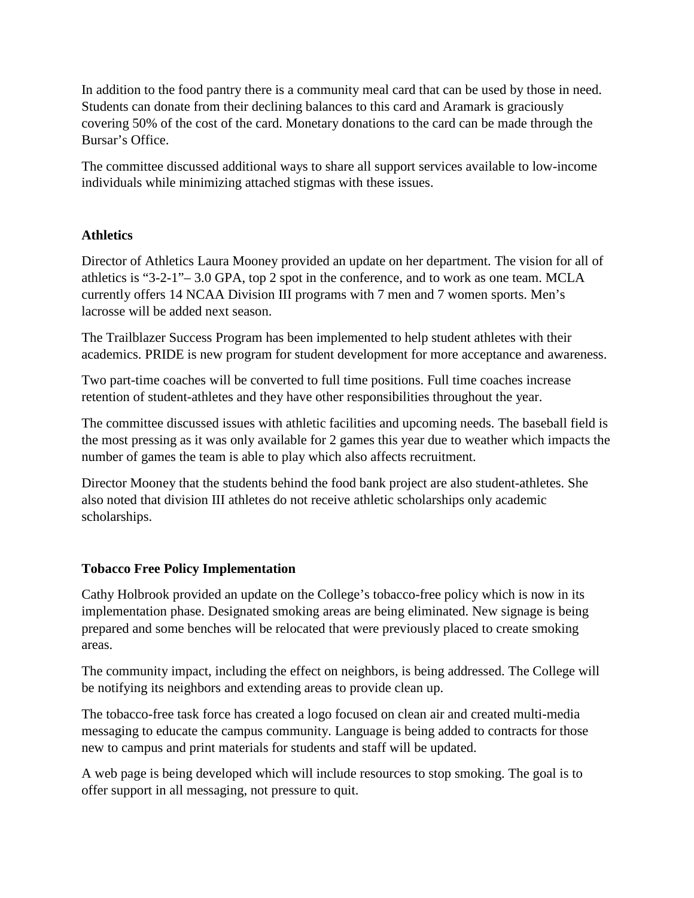In addition to the food pantry there is a community meal card that can be used by those in need. Students can donate from their declining balances to this card and Aramark is graciously covering 50% of the cost of the card. Monetary donations to the card can be made through the Bursar's Office.

The committee discussed additional ways to share all support services available to low-income individuals while minimizing attached stigmas with these issues.

# **Athletics**

Director of Athletics Laura Mooney provided an update on her department. The vision for all of athletics is "3-2-1"– 3.0 GPA, top 2 spot in the conference, and to work as one team. MCLA currently offers 14 NCAA Division III programs with 7 men and 7 women sports. Men's lacrosse will be added next season.

The Trailblazer Success Program has been implemented to help student athletes with their academics. PRIDE is new program for student development for more acceptance and awareness.

Two part-time coaches will be converted to full time positions. Full time coaches increase retention of student-athletes and they have other responsibilities throughout the year.

The committee discussed issues with athletic facilities and upcoming needs. The baseball field is the most pressing as it was only available for 2 games this year due to weather which impacts the number of games the team is able to play which also affects recruitment.

Director Mooney that the students behind the food bank project are also student-athletes. She also noted that division III athletes do not receive athletic scholarships only academic scholarships.

# **Tobacco Free Policy Implementation**

Cathy Holbrook provided an update on the College's tobacco-free policy which is now in its implementation phase. Designated smoking areas are being eliminated. New signage is being prepared and some benches will be relocated that were previously placed to create smoking areas.

The community impact, including the effect on neighbors, is being addressed. The College will be notifying its neighbors and extending areas to provide clean up.

The tobacco-free task force has created a logo focused on clean air and created multi-media messaging to educate the campus community. Language is being added to contracts for those new to campus and print materials for students and staff will be updated.

A web page is being developed which will include resources to stop smoking. The goal is to offer support in all messaging, not pressure to quit.